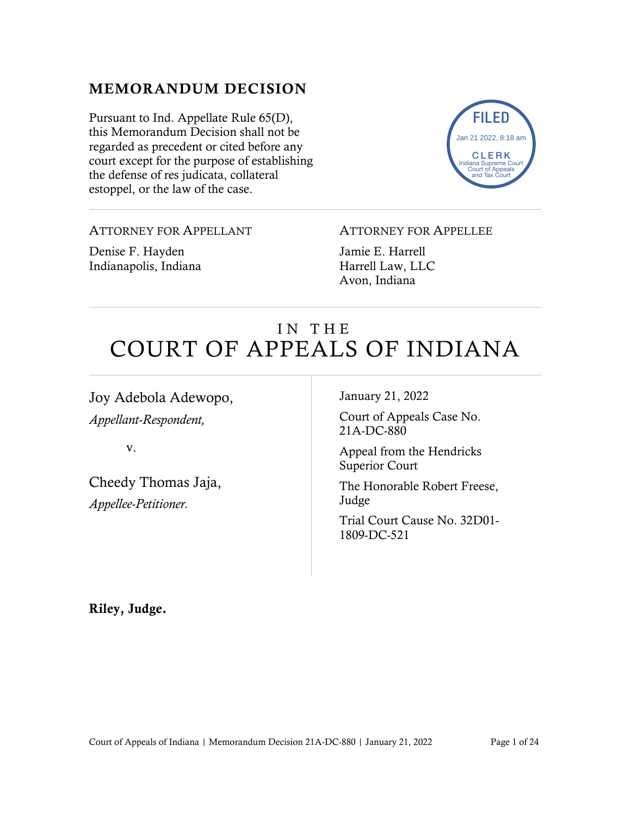## MEMORANDUM DECISION

Pursuant to Ind. Appellate Rule 65(D), this Memorandum Decision shall not be regarded as precedent or cited before any court except for the purpose of establishing the defense of res judicata, collateral estoppel, or the law of the case.



#### ATTORNEY FOR APPELLANT

Denise F. Hayden Indianapolis, Indiana

#### ATTORNEY FOR APPELLEE

Jamie E. Harrell Harrell Law, LLC Avon, Indiana

# IN THE COURT OF APPEALS OF INDIANA

Joy Adebola Adewopo,

*Appellant-Respondent,*

v.

Cheedy Thomas Jaja, *Appellee-Petitioner.*

January 21, 2022

Court of Appeals Case No. 21A-DC-880

Appeal from the Hendricks Superior Court

The Honorable Robert Freese, Judge

Trial Court Cause No. 32D01- 1809-DC-521

Riley, Judge.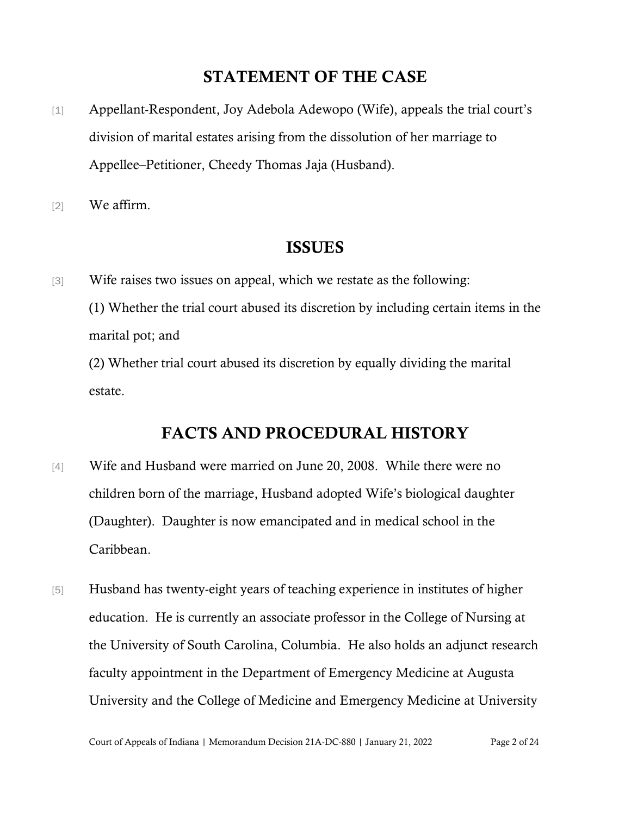## STATEMENT OF THE CASE

- [1] Appellant-Respondent, Joy Adebola Adewopo (Wife), appeals the trial court's division of marital estates arising from the dissolution of her marriage to Appellee–Petitioner, Cheedy Thomas Jaja (Husband).
- [2] We affirm.

#### ISSUES

[3] Wife raises two issues on appeal, which we restate as the following: (1) Whether the trial court abused its discretion by including certain items in the marital pot; and

(2) Whether trial court abused its discretion by equally dividing the marital estate.

## FACTS AND PROCEDURAL HISTORY

- [4] Wife and Husband were married on June 20, 2008. While there were no children born of the marriage, Husband adopted Wife's biological daughter (Daughter). Daughter is now emancipated and in medical school in the Caribbean.
- [5] Husband has twenty-eight years of teaching experience in institutes of higher education. He is currently an associate professor in the College of Nursing at the University of South Carolina, Columbia. He also holds an adjunct research faculty appointment in the Department of Emergency Medicine at Augusta University and the College of Medicine and Emergency Medicine at University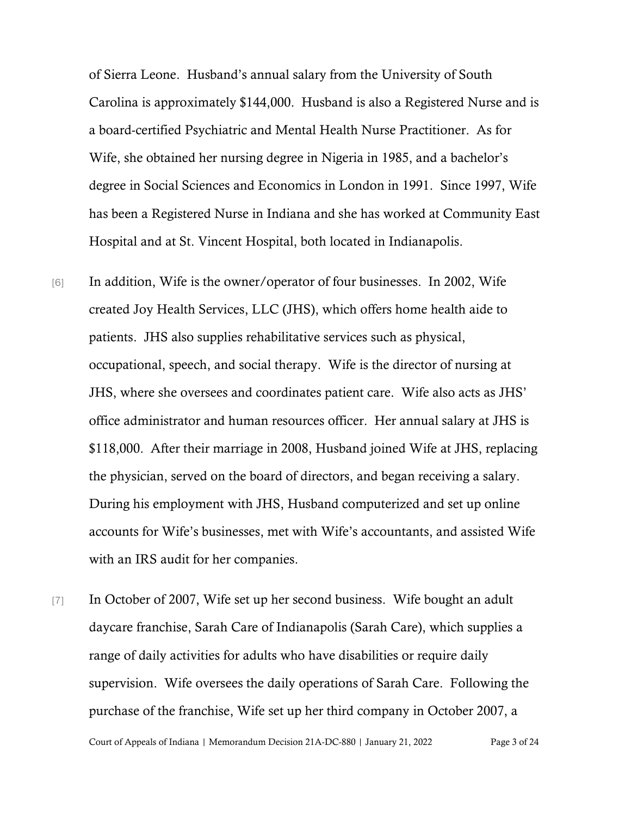of Sierra Leone. Husband's annual salary from the University of South Carolina is approximately \$144,000. Husband is also a Registered Nurse and is a board-certified Psychiatric and Mental Health Nurse Practitioner. As for Wife, she obtained her nursing degree in Nigeria in 1985, and a bachelor's degree in Social Sciences and Economics in London in 1991. Since 1997, Wife has been a Registered Nurse in Indiana and she has worked at Community East Hospital and at St. Vincent Hospital, both located in Indianapolis.

- [6] In addition, Wife is the owner/operator of four businesses. In 2002, Wife created Joy Health Services, LLC (JHS), which offers home health aide to patients. JHS also supplies rehabilitative services such as physical, occupational, speech, and social therapy. Wife is the director of nursing at JHS, where she oversees and coordinates patient care. Wife also acts as JHS' office administrator and human resources officer. Her annual salary at JHS is \$118,000. After their marriage in 2008, Husband joined Wife at JHS, replacing the physician, served on the board of directors, and began receiving a salary. During his employment with JHS, Husband computerized and set up online accounts for Wife's businesses, met with Wife's accountants, and assisted Wife with an IRS audit for her companies.
- [7] In October of 2007, Wife set up her second business. Wife bought an adult daycare franchise, Sarah Care of Indianapolis (Sarah Care), which supplies a range of daily activities for adults who have disabilities or require daily supervision. Wife oversees the daily operations of Sarah Care. Following the purchase of the franchise, Wife set up her third company in October 2007, a

Court of Appeals of Indiana | Memorandum Decision 21A-DC-880 | January 21, 2022 Page 3 of 24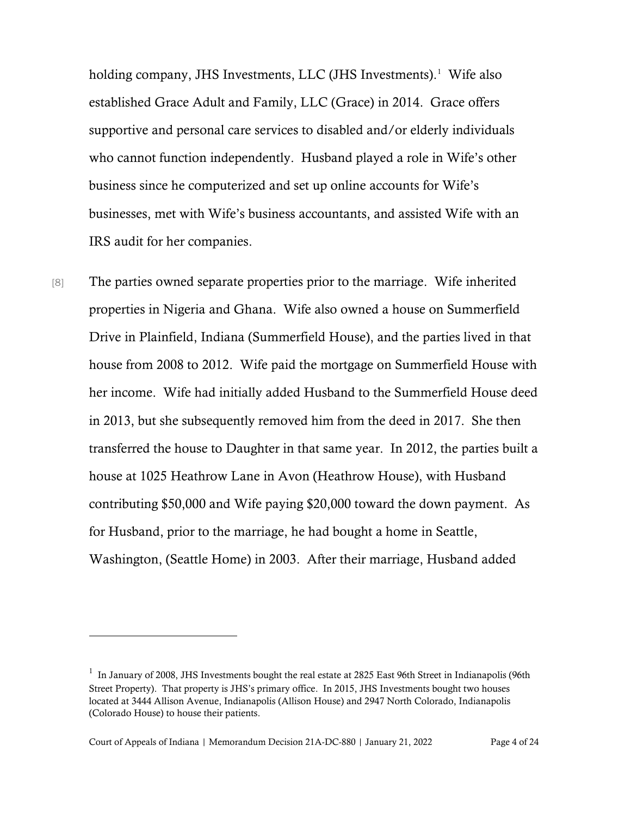holding company, JHS Investments, LLC (JHS Investments). [1](#page-3-0) Wife also established Grace Adult and Family, LLC (Grace) in 2014. Grace offers supportive and personal care services to disabled and/or elderly individuals who cannot function independently. Husband played a role in Wife's other business since he computerized and set up online accounts for Wife's businesses, met with Wife's business accountants, and assisted Wife with an IRS audit for her companies.

[8] The parties owned separate properties prior to the marriage. Wife inherited properties in Nigeria and Ghana. Wife also owned a house on Summerfield Drive in Plainfield, Indiana (Summerfield House), and the parties lived in that house from 2008 to 2012. Wife paid the mortgage on Summerfield House with her income. Wife had initially added Husband to the Summerfield House deed in 2013, but she subsequently removed him from the deed in 2017. She then transferred the house to Daughter in that same year. In 2012, the parties built a house at 1025 Heathrow Lane in Avon (Heathrow House), with Husband contributing \$50,000 and Wife paying \$20,000 toward the down payment. As for Husband, prior to the marriage, he had bought a home in Seattle, Washington, (Seattle Home) in 2003. After their marriage, Husband added

<span id="page-3-0"></span><sup>&</sup>lt;sup>1</sup> In January of 2008, JHS Investments bought the real estate at 2825 East 96th Street in Indianapolis (96th Street Property). That property is JHS's primary office. In 2015, JHS Investments bought two houses located at 3444 Allison Avenue, Indianapolis (Allison House) and 2947 North Colorado, Indianapolis (Colorado House) to house their patients.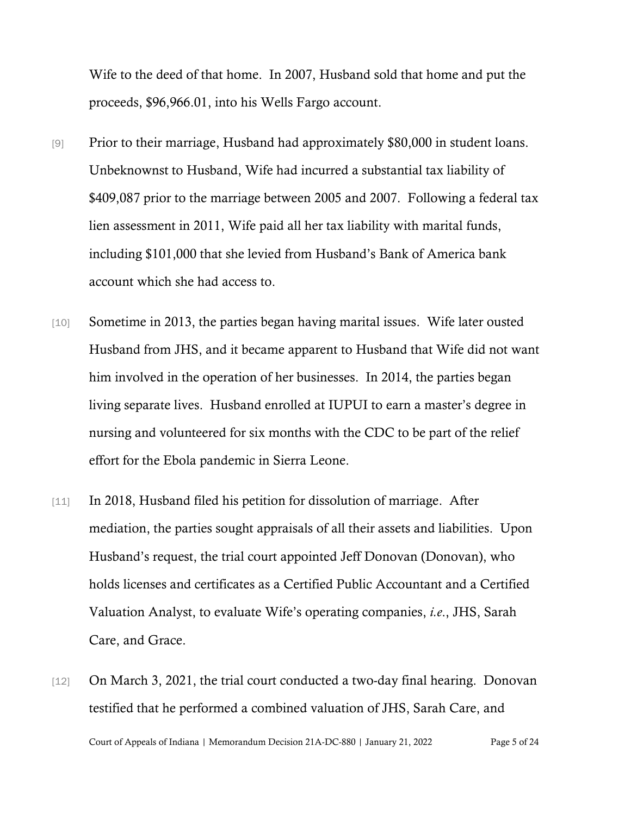Wife to the deed of that home. In 2007, Husband sold that home and put the proceeds, \$96,966.01, into his Wells Fargo account.

- [9] Prior to their marriage, Husband had approximately \$80,000 in student loans. Unbeknownst to Husband, Wife had incurred a substantial tax liability of \$409,087 prior to the marriage between 2005 and 2007. Following a federal tax lien assessment in 2011, Wife paid all her tax liability with marital funds, including \$101,000 that she levied from Husband's Bank of America bank account which she had access to.
- [10] Sometime in 2013, the parties began having marital issues. Wife later ousted Husband from JHS, and it became apparent to Husband that Wife did not want him involved in the operation of her businesses. In 2014, the parties began living separate lives. Husband enrolled at IUPUI to earn a master's degree in nursing and volunteered for six months with the CDC to be part of the relief effort for the Ebola pandemic in Sierra Leone.
- [11] In 2018, Husband filed his petition for dissolution of marriage. After mediation, the parties sought appraisals of all their assets and liabilities. Upon Husband's request, the trial court appointed Jeff Donovan (Donovan), who holds licenses and certificates as a Certified Public Accountant and a Certified Valuation Analyst, to evaluate Wife's operating companies, *i.e*., JHS, Sarah Care, and Grace.
- Court of Appeals of Indiana | Memorandum Decision 21A-DC-880 | January 21, 2022 Page 5 of 24 [12] On March 3, 2021, the trial court conducted a two-day final hearing. Donovan testified that he performed a combined valuation of JHS, Sarah Care, and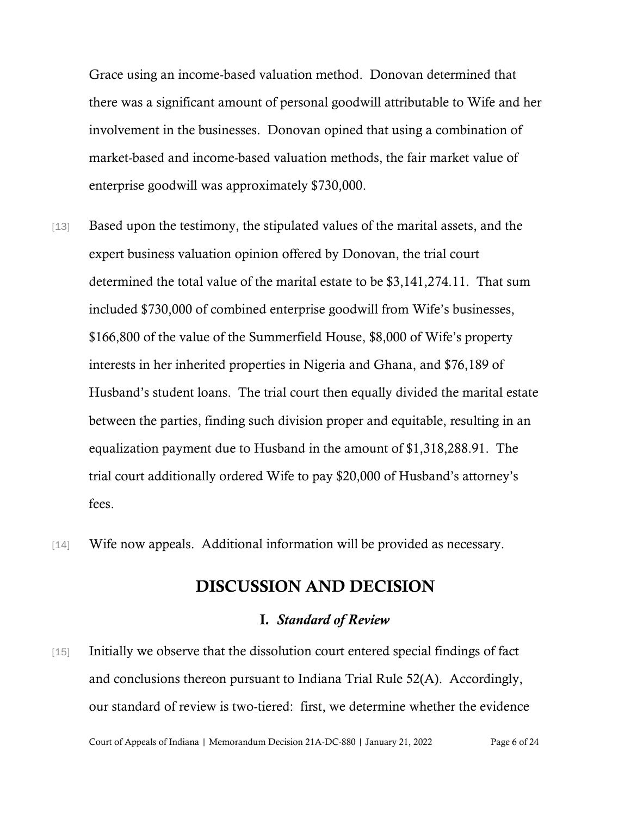Grace using an income-based valuation method. Donovan determined that there was a significant amount of personal goodwill attributable to Wife and her involvement in the businesses. Donovan opined that using a combination of market-based and income-based valuation methods, the fair market value of enterprise goodwill was approximately \$730,000.

- [13] Based upon the testimony, the stipulated values of the marital assets, and the expert business valuation opinion offered by Donovan, the trial court determined the total value of the marital estate to be \$3,141,274.11. That sum included \$730,000 of combined enterprise goodwill from Wife's businesses, \$166,800 of the value of the Summerfield House, \$8,000 of Wife's property interests in her inherited properties in Nigeria and Ghana, and \$76,189 of Husband's student loans. The trial court then equally divided the marital estate between the parties, finding such division proper and equitable, resulting in an equalization payment due to Husband in the amount of \$1,318,288.91. The trial court additionally ordered Wife to pay \$20,000 of Husband's attorney's fees.
- [14] Wife now appeals. Additional information will be provided as necessary.

## DISCUSSION AND DECISION

#### I*. Standard of Review*

[15] Initially we observe that the dissolution court entered special findings of fact and conclusions thereon pursuant to Indiana Trial Rule 52(A). Accordingly, our standard of review is two-tiered: first, we determine whether the evidence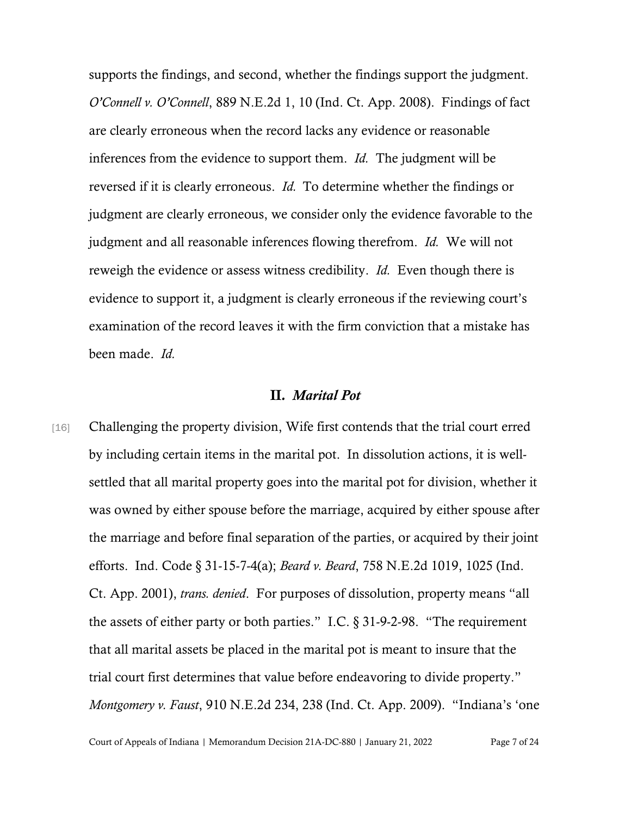supports the findings, and second, whether the findings support the judgment. *O'Connell v. O'Connell*, 889 N.E.2d 1, 10 (Ind. Ct. App. 2008). Findings of fact are clearly erroneous when the record lacks any evidence or reasonable inferences from the evidence to support them. *Id.* The judgment will be reversed if it is clearly erroneous. *Id.* To determine whether the findings or judgment are clearly erroneous, we consider only the evidence favorable to the judgment and all reasonable inferences flowing therefrom. *Id.* We will not reweigh the evidence or assess witness credibility. *Id.* Even though there is evidence to support it, a judgment is clearly erroneous if the reviewing court's examination of the record leaves it with the firm conviction that a mistake has been made. *Id.* 

#### II*. Marital Pot*

[16] Challenging the property division, Wife first contends that the trial court erred by including certain items in the marital pot. In dissolution actions, it is wellsettled that all marital property goes into the marital pot for division, whether it was owned by either spouse before the marriage, acquired by either spouse after the marriage and before final separation of the parties, or acquired by their joint efforts. Ind. Code § 31-15-7-4(a); *Beard v. Beard*, 758 N.E.2d 1019, 1025 (Ind. Ct. App. 2001), *trans. denied*. For purposes of dissolution, property means "all the assets of either party or both parties." I.C. § 31-9-2-98. "The requirement that all marital assets be placed in the marital pot is meant to insure that the trial court first determines that value before endeavoring to divide property." *Montgomery v. Faust*, 910 N.E.2d 234, 238 (Ind. Ct. App. 2009). "Indiana's 'one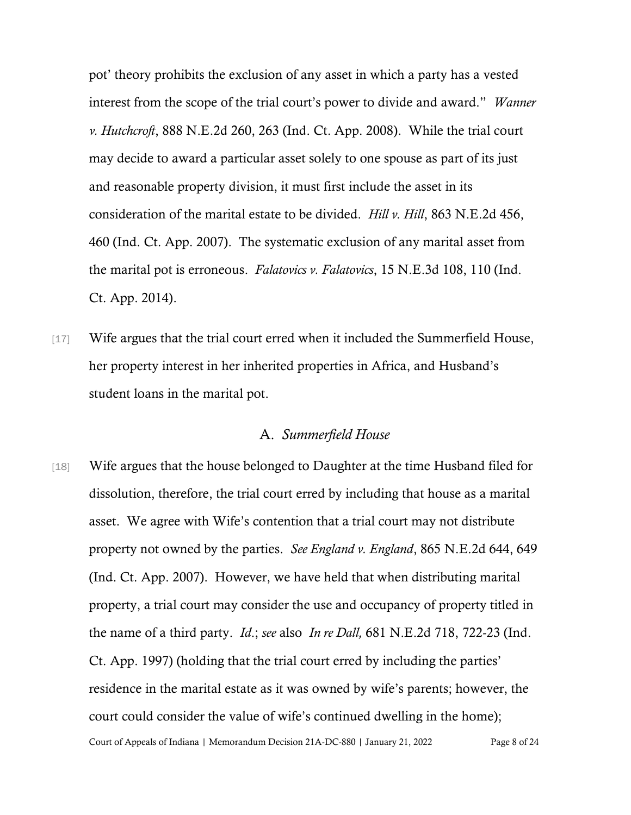pot' theory prohibits the exclusion of any asset in which a party has a vested interest from the scope of the trial court's power to divide and award." *Wanner v. Hutchcroft*, 888 N.E.2d 260, 263 (Ind. Ct. App. 2008). While the trial court may decide to award a particular asset solely to one spouse as part of its just and reasonable property division, it must first include the asset in its consideration of the marital estate to be divided. *Hill v. Hill*, 863 N.E.2d 456, 460 (Ind. Ct. App. 2007). The systematic exclusion of any marital asset from the marital pot is erroneous. *Falatovics v. Falatovics*, 15 N.E.3d 108, 110 (Ind. Ct. App. 2014).

[17] Wife argues that the trial court erred when it included the Summerfield House, her property interest in her inherited properties in Africa, and Husband's student loans in the marital pot.

#### A. *Summerfield House*

Court of Appeals of Indiana | Memorandum Decision 21A-DC-880 | January 21, 2022 Page 8 of 24 [18] Wife argues that the house belonged to Daughter at the time Husband filed for dissolution, therefore, the trial court erred by including that house as a marital asset. We agree with Wife's contention that a trial court may not distribute property not owned by the parties. *See England v. England*, 865 N.E.2d 644, 649 (Ind. Ct. App. 2007). However, we have held that when distributing marital property, a trial court may consider the use and occupancy of property titled in the name of a third party. *Id*.; *see* also *In re Dall,* 681 N.E.2d 718, 722-23 (Ind. Ct. App. 1997) (holding that the trial court erred by including the parties' residence in the marital estate as it was owned by wife's parents; however, the court could consider the value of wife's continued dwelling in the home);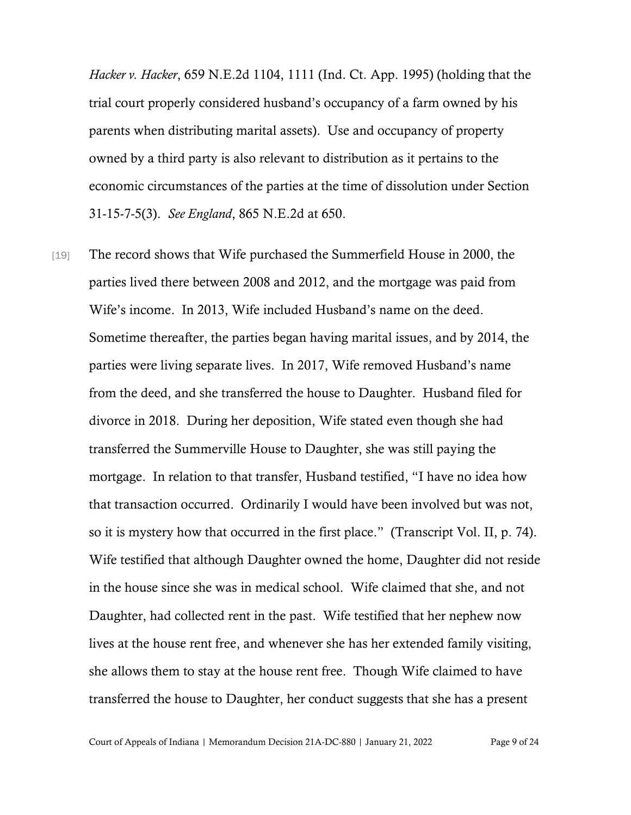*Hacker v. Hacker*, 659 N.E.2d 1104, 1111 (Ind. Ct. App. 1995) (holding that the trial court properly considered husband's occupancy of a farm owned by his parents when distributing marital assets). Use and occupancy of property owned by a third party is also relevant to distribution as it pertains to the economic circumstances of the parties at the time of dissolution under Section 31-15-7-5(3). *See England*, 865 N.E.2d at 650.

[19] The record shows that Wife purchased the Summerfield House in 2000, the parties lived there between 2008 and 2012, and the mortgage was paid from Wife's income. In 2013, Wife included Husband's name on the deed. Sometime thereafter, the parties began having marital issues, and by 2014, the parties were living separate lives. In 2017, Wife removed Husband's name from the deed, and she transferred the house to Daughter. Husband filed for divorce in 2018. During her deposition, Wife stated even though she had transferred the Summerville House to Daughter, she was still paying the mortgage. In relation to that transfer, Husband testified, "I have no idea how that transaction occurred. Ordinarily I would have been involved but was not, so it is mystery how that occurred in the first place." (Transcript Vol. II, p. 74). Wife testified that although Daughter owned the home, Daughter did not reside in the house since she was in medical school. Wife claimed that she, and not Daughter, had collected rent in the past. Wife testified that her nephew now lives at the house rent free, and whenever she has her extended family visiting, she allows them to stay at the house rent free. Though Wife claimed to have transferred the house to Daughter, her conduct suggests that she has a present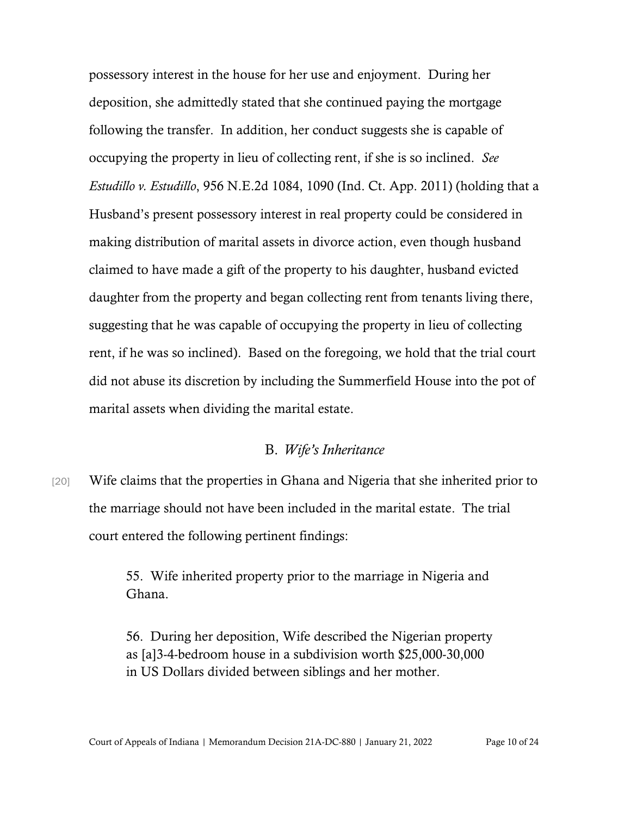possessory interest in the house for her use and enjoyment. During her deposition, she admittedly stated that she continued paying the mortgage following the transfer. In addition, her conduct suggests she is capable of occupying the property in lieu of collecting rent, if she is so inclined. *See Estudillo v. Estudillo*, 956 N.E.2d 1084, 1090 (Ind. Ct. App. 2011) (holding that a Husband's present possessory interest in real property could be considered in making distribution of marital assets in divorce action, even though husband claimed to have made a gift of the property to his daughter, husband evicted daughter from the property and began collecting rent from tenants living there, suggesting that he was capable of occupying the property in lieu of collecting rent, if he was so inclined). Based on the foregoing, we hold that the trial court did not abuse its discretion by including the Summerfield House into the pot of marital assets when dividing the marital estate.

#### B. *Wife's Inheritance*

[20] Wife claims that the properties in Ghana and Nigeria that she inherited prior to the marriage should not have been included in the marital estate. The trial court entered the following pertinent findings:

> 55. Wife inherited property prior to the marriage in Nigeria and Ghana.

> 56. During her deposition, Wife described the Nigerian property as [a]3-4-bedroom house in a subdivision worth \$25,000-30,000 in US Dollars divided between siblings and her mother.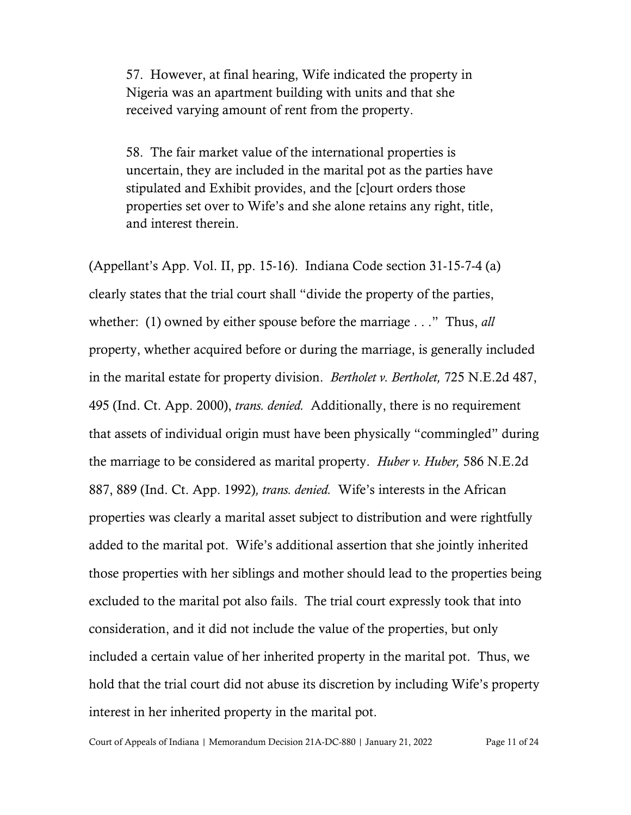57. However, at final hearing, Wife indicated the property in Nigeria was an apartment building with units and that she received varying amount of rent from the property.

58. The fair market value of the international properties is uncertain, they are included in the marital pot as the parties have stipulated and Exhibit provides, and the [c]ourt orders those properties set over to Wife's and she alone retains any right, title, and interest therein.

(Appellant's App. Vol. II, pp. 15-16). Indiana Code section 31-15-7-4 (a) clearly states that the trial court shall "divide the property of the parties, whether: (1) owned by either spouse before the marriage . . ." Thus, *all* property, whether acquired before or during the marriage, is generally included in the marital estate for property division. *Bertholet v. Bertholet,* 725 N.E.2d 487, 495 (Ind. Ct. App. 2000), *trans. denied.* Additionally, there is no requirement that assets of individual origin must have been physically "commingled" during the marriage to be considered as marital property. *Huber v. Huber,* 586 N.E.2d 887, 889 (Ind. Ct. App. 1992)*, trans. denied.* Wife's interests in the African properties was clearly a marital asset subject to distribution and were rightfully added to the marital pot. Wife's additional assertion that she jointly inherited those properties with her siblings and mother should lead to the properties being excluded to the marital pot also fails. The trial court expressly took that into consideration, and it did not include the value of the properties, but only included a certain value of her inherited property in the marital pot. Thus, we hold that the trial court did not abuse its discretion by including Wife's property interest in her inherited property in the marital pot.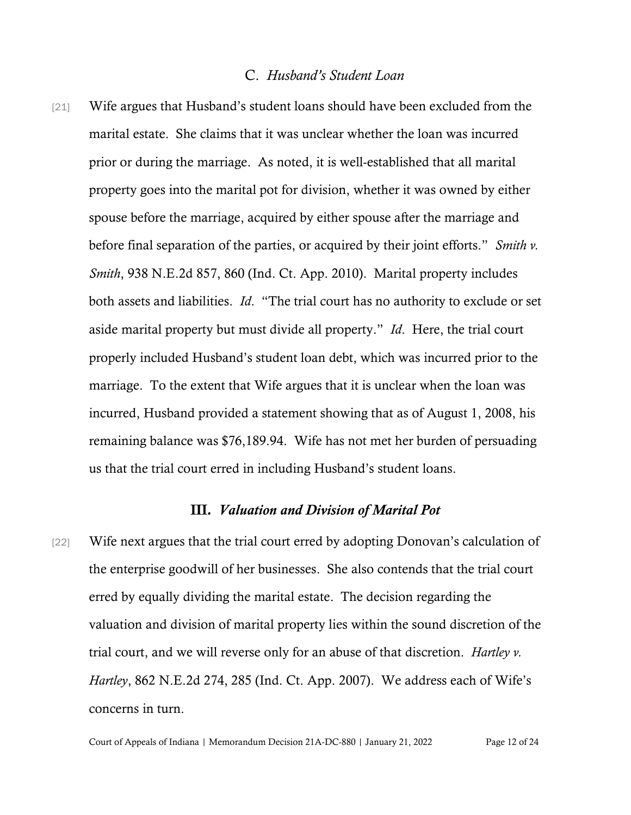#### C. *Husband's Student Loan*

[21] Wife argues that Husband's student loans should have been excluded from the marital estate. She claims that it was unclear whether the loan was incurred prior or during the marriage. As noted, it is well-established that all marital property goes into the marital pot for division, whether it was owned by either spouse before the marriage, acquired by either spouse after the marriage and before final separation of the parties, or acquired by their joint efforts." *Smith v. Smith*, 938 N.E.2d 857, 860 (Ind. Ct. App. 2010). Marital property includes both assets and liabilities. *Id*. "The trial court has no authority to exclude or set aside marital property but must divide all property." *Id*. Here, the trial court properly included Husband's student loan debt, which was incurred prior to the marriage. To the extent that Wife argues that it is unclear when the loan was incurred, Husband provided a statement showing that as of August 1, 2008, his remaining balance was \$76,189.94. Wife has not met her burden of persuading us that the trial court erred in including Husband's student loans.

#### III*. Valuation and Division of Marital Pot*

[22] Wife next argues that the trial court erred by adopting Donovan's calculation of the enterprise goodwill of her businesses. She also contends that the trial court erred by equally dividing the marital estate. The decision regarding the valuation and division of marital property lies within the sound discretion of the trial court, and we will reverse only for an abuse of that discretion. *Hartley v. Hartley*, 862 N.E.2d 274, 285 (Ind. Ct. App. 2007). We address each of Wife's concerns in turn.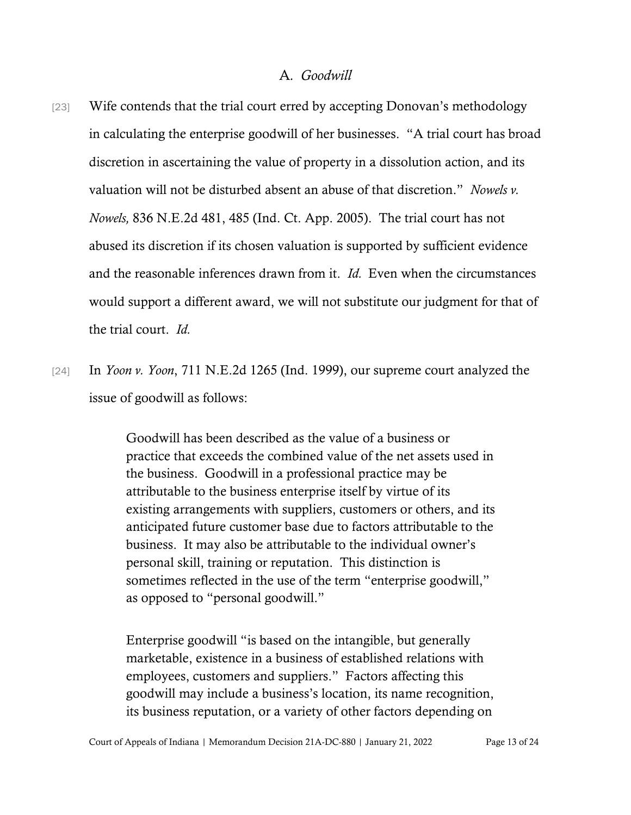#### A*. Goodwill*

- [23] Wife contends that the trial court erred by accepting Donovan's methodology in calculating the enterprise goodwill of her businesses. "A trial court has broad discretion in ascertaining the value of property in a dissolution action, and its valuation will not be disturbed absent an abuse of that discretion." *Nowels v. Nowels,* 836 N.E.2d 481, 485 (Ind. Ct. App. 2005). The trial court has not abused its discretion if its chosen valuation is supported by sufficient evidence and the reasonable inferences drawn from it. *Id.* Even when the circumstances would support a different award, we will not substitute our judgment for that of the trial court. *Id.*
- [24] In *Yoon v. Yoon*, 711 N.E.2d 1265 (Ind. 1999), our supreme court analyzed the issue of goodwill as follows:

Goodwill has been described as the value of a business or practice that exceeds the combined value of the net assets used in the business. Goodwill in a professional practice may be attributable to the business enterprise itself by virtue of its existing arrangements with suppliers, customers or others, and its anticipated future customer base due to factors attributable to the business. It may also be attributable to the individual owner's personal skill, training or reputation. This distinction is sometimes reflected in the use of the term "enterprise goodwill," as opposed to "personal goodwill."

Enterprise goodwill "is based on the intangible, but generally marketable, existence in a business of established relations with employees, customers and suppliers." Factors affecting this goodwill may include a business's location, its name recognition, its business reputation, or a variety of other factors depending on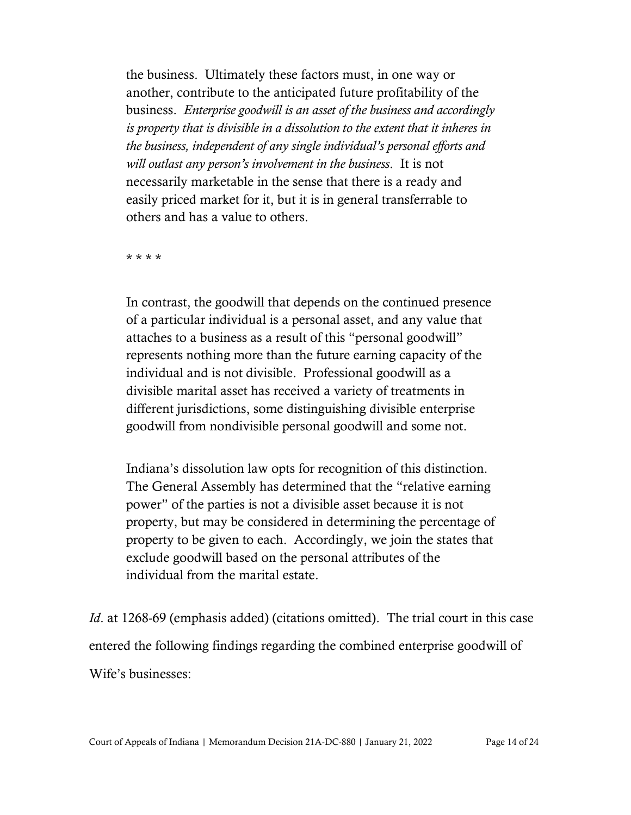the business. Ultimately these factors must, in one way or another, contribute to the anticipated future profitability of the business. *Enterprise goodwill is an asset of the business and accordingly is property that is divisible in a dissolution to the extent that it inheres in the business, independent of any single individual's personal efforts and will outlast any person's involvement in the business*. It is not necessarily marketable in the sense that there is a ready and easily priced market for it, but it is in general transferrable to others and has a value to others.

\* \* \* \*

In contrast, the goodwill that depends on the continued presence of a particular individual is a personal asset, and any value that attaches to a business as a result of this "personal goodwill" represents nothing more than the future earning capacity of the individual and is not divisible. Professional goodwill as a divisible marital asset has received a variety of treatments in different jurisdictions, some distinguishing divisible enterprise goodwill from nondivisible personal goodwill and some not.

Indiana's dissolution law opts for recognition of this distinction. The General Assembly has determined that the "relative earning power" of the parties is not a divisible asset because it is not property, but may be considered in determining the percentage of property to be given to each. Accordingly, we join the states that exclude goodwill based on the personal attributes of the individual from the marital estate.

*Id.* at 1268-69 (emphasis added) (citations omitted). The trial court in this case entered the following findings regarding the combined enterprise goodwill of Wife's businesses: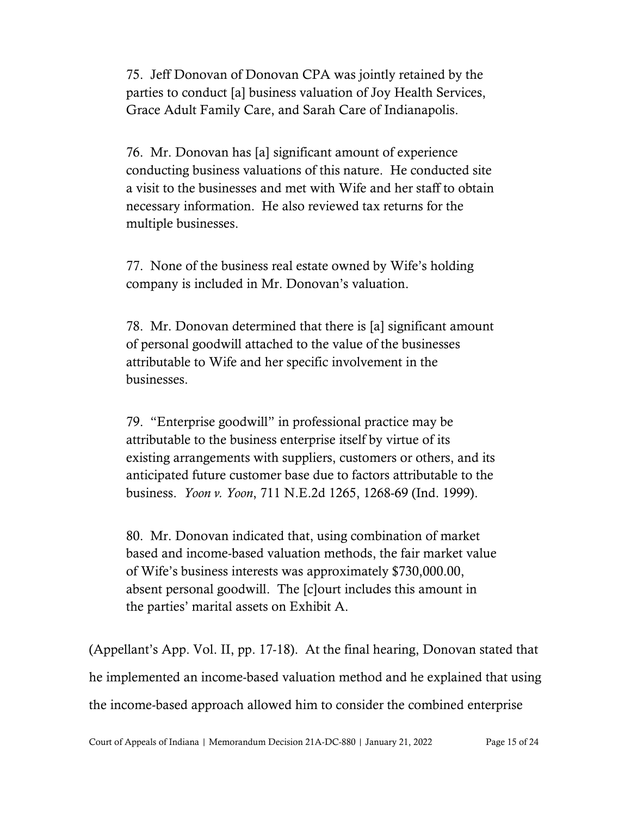75. Jeff Donovan of Donovan CPA was jointly retained by the parties to conduct [a] business valuation of Joy Health Services, Grace Adult Family Care, and Sarah Care of Indianapolis.

76. Mr. Donovan has [a] significant amount of experience conducting business valuations of this nature. He conducted site a visit to the businesses and met with Wife and her staff to obtain necessary information. He also reviewed tax returns for the multiple businesses.

77. None of the business real estate owned by Wife's holding company is included in Mr. Donovan's valuation.

78. Mr. Donovan determined that there is [a] significant amount of personal goodwill attached to the value of the businesses attributable to Wife and her specific involvement in the businesses.

79. "Enterprise goodwill" in professional practice may be attributable to the business enterprise itself by virtue of its existing arrangements with suppliers, customers or others, and its anticipated future customer base due to factors attributable to the business. *Yoon v. Yoon*, 711 N.E.2d 1265, 1268-69 (Ind. 1999).

80. Mr. Donovan indicated that, using combination of market based and income-based valuation methods, the fair market value of Wife's business interests was approximately \$730,000.00, absent personal goodwill. The [c]ourt includes this amount in the parties' marital assets on Exhibit A.

(Appellant's App. Vol. II, pp. 17-18). At the final hearing, Donovan stated that he implemented an income-based valuation method and he explained that using the income-based approach allowed him to consider the combined enterprise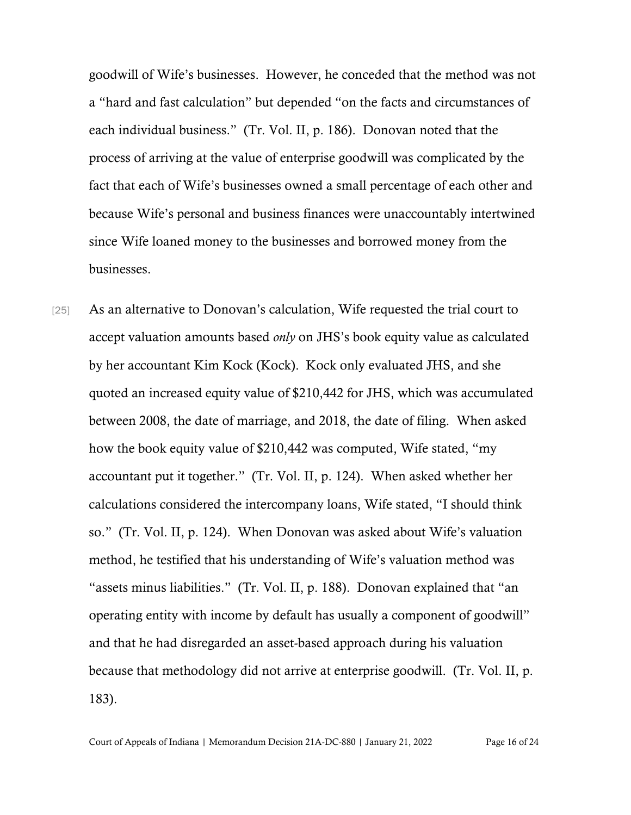goodwill of Wife's businesses. However, he conceded that the method was not a "hard and fast calculation" but depended "on the facts and circumstances of each individual business." (Tr. Vol. II, p. 186). Donovan noted that the process of arriving at the value of enterprise goodwill was complicated by the fact that each of Wife's businesses owned a small percentage of each other and because Wife's personal and business finances were unaccountably intertwined since Wife loaned money to the businesses and borrowed money from the businesses.

[25] As an alternative to Donovan's calculation, Wife requested the trial court to accept valuation amounts based *only* on JHS's book equity value as calculated by her accountant Kim Kock (Kock). Kock only evaluated JHS, and she quoted an increased equity value of \$210,442 for JHS, which was accumulated between 2008, the date of marriage, and 2018, the date of filing. When asked how the book equity value of \$210,442 was computed, Wife stated, "my accountant put it together." (Tr. Vol. II, p. 124). When asked whether her calculations considered the intercompany loans, Wife stated, "I should think so." (Tr. Vol. II, p. 124). When Donovan was asked about Wife's valuation method, he testified that his understanding of Wife's valuation method was "assets minus liabilities." (Tr. Vol. II, p. 188). Donovan explained that "an operating entity with income by default has usually a component of goodwill" and that he had disregarded an asset-based approach during his valuation because that methodology did not arrive at enterprise goodwill. (Tr. Vol. II, p. 183).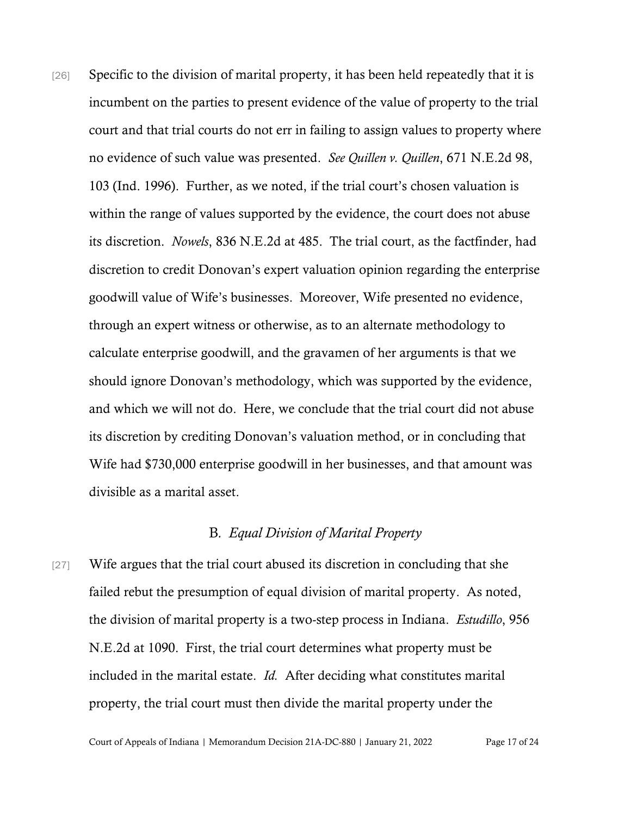[26] Specific to the division of marital property, it has been held repeatedly that it is incumbent on the parties to present evidence of the value of property to the trial court and that trial courts do not err in failing to assign values to property where no evidence of such value was presented. *See Quillen v. Quillen*, 671 N.E.2d 98, 103 (Ind. 1996). Further, as we noted, if the trial court's chosen valuation is within the range of values supported by the evidence, the court does not abuse its discretion. *Nowels*, 836 N.E.2d at 485. The trial court, as the factfinder, had discretion to credit Donovan's expert valuation opinion regarding the enterprise goodwill value of Wife's businesses. Moreover, Wife presented no evidence, through an expert witness or otherwise, as to an alternate methodology to calculate enterprise goodwill, and the gravamen of her arguments is that we should ignore Donovan's methodology, which was supported by the evidence, and which we will not do. Here, we conclude that the trial court did not abuse its discretion by crediting Donovan's valuation method, or in concluding that Wife had \$730,000 enterprise goodwill in her businesses, and that amount was divisible as a marital asset.

#### B*. Equal Division of Marital Property*

[27] Wife argues that the trial court abused its discretion in concluding that she failed rebut the presumption of equal division of marital property. As noted, the division of marital property is a two-step process in Indiana. *Estudillo*, 956 N.E.2d at 1090. First, the trial court determines what property must be included in the marital estate. *Id.* After deciding what constitutes marital property, the trial court must then divide the marital property under the

Court of Appeals of Indiana | Memorandum Decision 21A-DC-880 | January 21, 2022 Page 17 of 24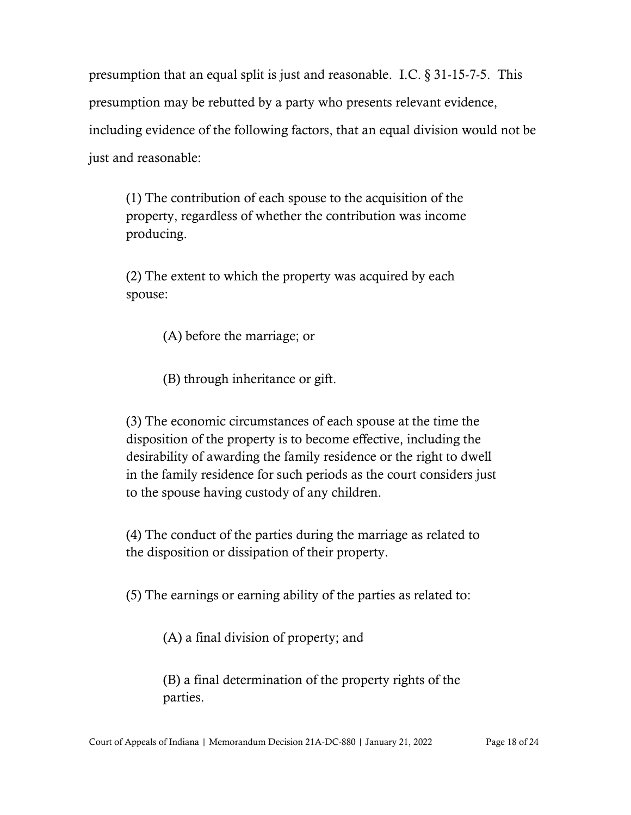presumption that an equal split is just and reasonable. I.C. § 31-15-7-5. This presumption may be rebutted by a party who presents relevant evidence, including evidence of the following factors, that an equal division would not be just and reasonable:

(1) The contribution of each spouse to the acquisition of the property, regardless of whether the contribution was income producing.

(2) The extent to which the property was acquired by each spouse:

(A) before the marriage; or

(B) through inheritance or gift.

(3) The economic circumstances of each spouse at the time the disposition of the property is to become effective, including the desirability of awarding the family residence or the right to dwell in the family residence for such periods as the court considers just to the spouse having custody of any children.

(4) The conduct of the parties during the marriage as related to the disposition or dissipation of their property.

(5) The earnings or earning ability of the parties as related to:

(A) a final division of property; and

(B) a final determination of the property rights of the parties.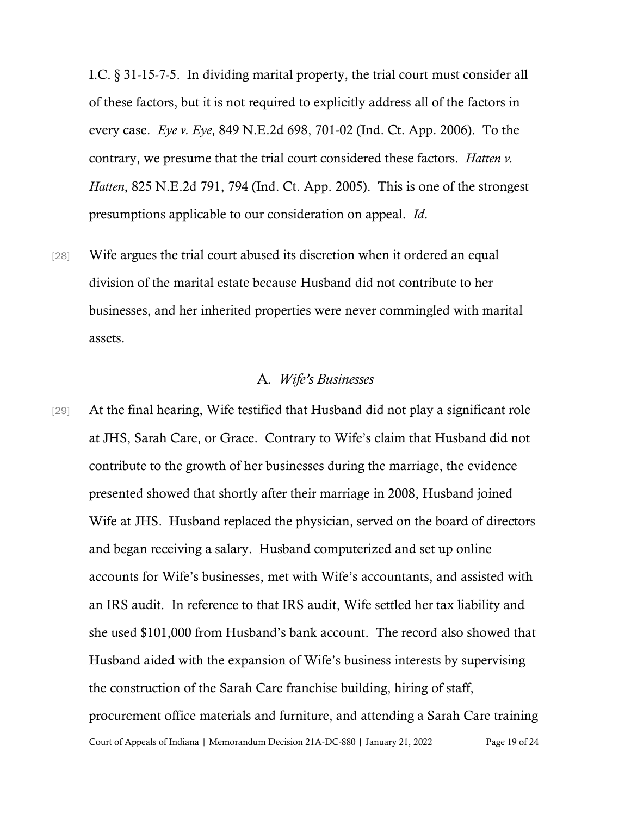I.C. § 31-15-7-5. In dividing marital property, the trial court must consider all of these factors, but it is not required to explicitly address all of the factors in every case. *Eye v. Eye*, 849 N.E.2d 698, 701-02 (Ind. Ct. App. 2006). To the contrary, we presume that the trial court considered these factors. *Hatten v. Hatten*, 825 N.E.2d 791, 794 (Ind. Ct. App. 2005). This is one of the strongest presumptions applicable to our consideration on appeal. *Id*.

[28] Wife argues the trial court abused its discretion when it ordered an equal division of the marital estate because Husband did not contribute to her businesses, and her inherited properties were never commingled with marital assets.

#### A*. Wife's Businesses*

Court of Appeals of Indiana | Memorandum Decision 21A-DC-880 | January 21, 2022 Page 19 of 24 [29] At the final hearing, Wife testified that Husband did not play a significant role at JHS, Sarah Care, or Grace. Contrary to Wife's claim that Husband did not contribute to the growth of her businesses during the marriage, the evidence presented showed that shortly after their marriage in 2008, Husband joined Wife at JHS. Husband replaced the physician, served on the board of directors and began receiving a salary. Husband computerized and set up online accounts for Wife's businesses, met with Wife's accountants, and assisted with an IRS audit. In reference to that IRS audit, Wife settled her tax liability and she used \$101,000 from Husband's bank account. The record also showed that Husband aided with the expansion of Wife's business interests by supervising the construction of the Sarah Care franchise building, hiring of staff, procurement office materials and furniture, and attending a Sarah Care training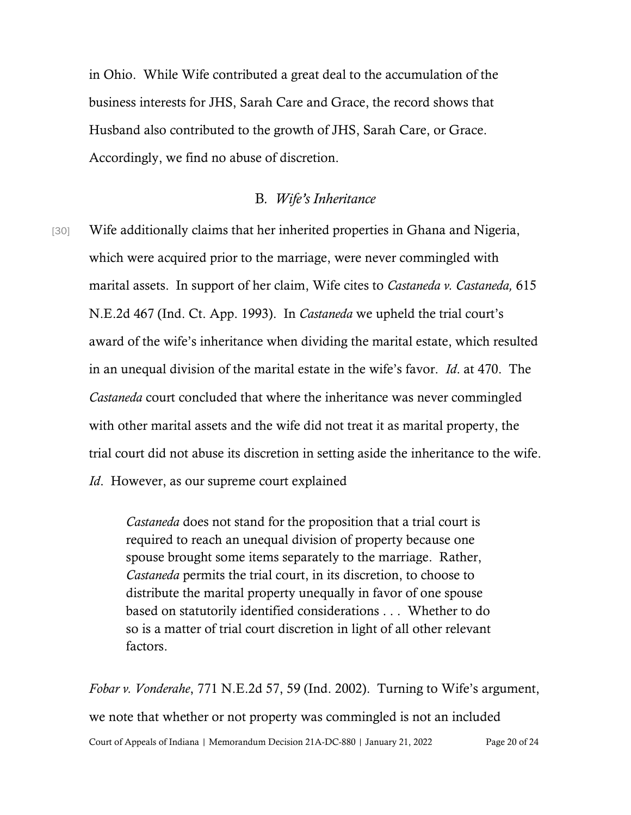in Ohio. While Wife contributed a great deal to the accumulation of the business interests for JHS, Sarah Care and Grace, the record shows that Husband also contributed to the growth of JHS, Sarah Care, or Grace. Accordingly, we find no abuse of discretion.

#### B*. Wife's Inheritance*

[30] Wife additionally claims that her inherited properties in Ghana and Nigeria, which were acquired prior to the marriage, were never commingled with marital assets. In support of her claim, Wife cites to *Castaneda v. Castaneda,* 615 N.E.2d 467 (Ind. Ct. App. 1993). In *Castaneda* we upheld the trial court's award of the wife's inheritance when dividing the marital estate, which resulted in an unequal division of the marital estate in the wife's favor. *Id*. at 470. The *Castaneda* court concluded that where the inheritance was never commingled with other marital assets and the wife did not treat it as marital property, the trial court did not abuse its discretion in setting aside the inheritance to the wife. *Id*. However, as our supreme court explained

> *Castaneda* does not stand for the proposition that a trial court is required to reach an unequal division of property because one spouse brought some items separately to the marriage. Rather, *Castaneda* permits the trial court, in its discretion, to choose to distribute the marital property unequally in favor of one spouse based on statutorily identified considerations . . . Whether to do so is a matter of trial court discretion in light of all other relevant factors.

Court of Appeals of Indiana | Memorandum Decision 21A-DC-880 | January 21, 2022 Page 20 of 24 *Fobar v. Vonderahe*, 771 N.E.2d 57, 59 (Ind. 2002). Turning to Wife's argument, we note that whether or not property was commingled is not an included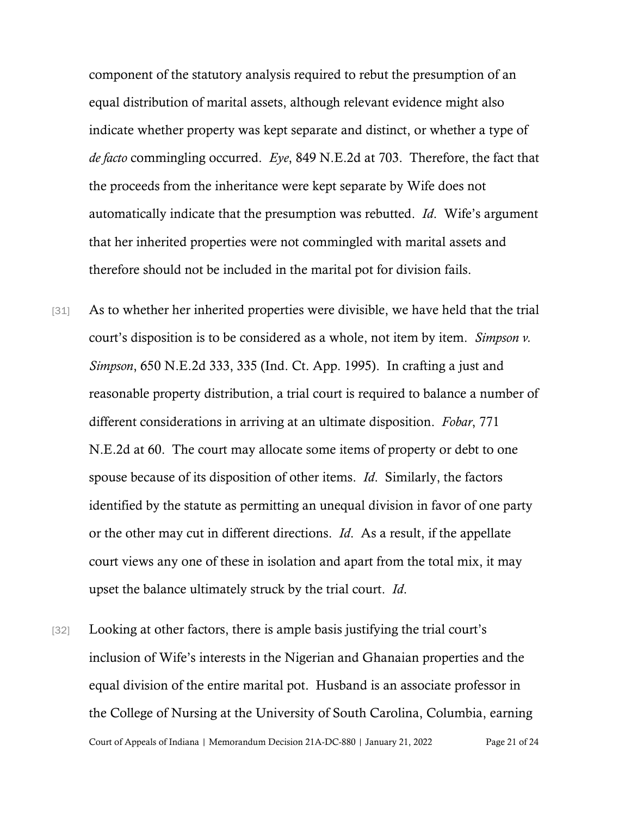component of the statutory analysis required to rebut the presumption of an equal distribution of marital assets, although relevant evidence might also indicate whether property was kept separate and distinct, or whether a type of *de facto* commingling occurred. *Eye*, 849 N.E.2d at 703. Therefore, the fact that the proceeds from the inheritance were kept separate by Wife does not automatically indicate that the presumption was rebutted. *Id*. Wife's argument that her inherited properties were not commingled with marital assets and therefore should not be included in the marital pot for division fails.

- [31] As to whether her inherited properties were divisible, we have held that the trial court's disposition is to be considered as a whole, not item by item. *Simpson v. Simpson*, 650 N.E.2d 333, 335 (Ind. Ct. App. 1995). In crafting a just and reasonable property distribution, a trial court is required to balance a number of different considerations in arriving at an ultimate disposition. *Fobar*, 771 N.E.2d at 60. The court may allocate some items of property or debt to one spouse because of its disposition of other items. *Id*. Similarly, the factors identified by the statute as permitting an unequal division in favor of one party or the other may cut in different directions. *Id*. As a result, if the appellate court views any one of these in isolation and apart from the total mix, it may upset the balance ultimately struck by the trial court. *Id*.
- Court of Appeals of Indiana | Memorandum Decision 21A-DC-880 | January 21, 2022 Page 21 of 24 [32] Looking at other factors, there is ample basis justifying the trial court's inclusion of Wife's interests in the Nigerian and Ghanaian properties and the equal division of the entire marital pot. Husband is an associate professor in the College of Nursing at the University of South Carolina, Columbia, earning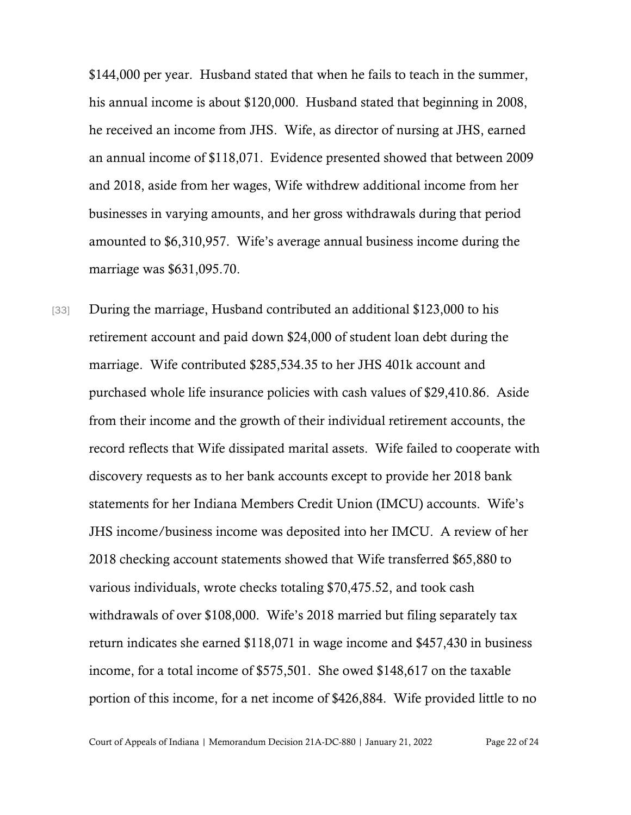\$144,000 per year. Husband stated that when he fails to teach in the summer, his annual income is about \$120,000. Husband stated that beginning in 2008, he received an income from JHS. Wife, as director of nursing at JHS, earned an annual income of \$118,071. Evidence presented showed that between 2009 and 2018, aside from her wages, Wife withdrew additional income from her businesses in varying amounts, and her gross withdrawals during that period amounted to \$6,310,957. Wife's average annual business income during the marriage was \$631,095.70.

[33] During the marriage, Husband contributed an additional \$123,000 to his retirement account and paid down \$24,000 of student loan debt during the marriage. Wife contributed \$285,534.35 to her JHS 401k account and purchased whole life insurance policies with cash values of \$29,410.86. Aside from their income and the growth of their individual retirement accounts, the record reflects that Wife dissipated marital assets. Wife failed to cooperate with discovery requests as to her bank accounts except to provide her 2018 bank statements for her Indiana Members Credit Union (IMCU) accounts. Wife's JHS income/business income was deposited into her IMCU. A review of her 2018 checking account statements showed that Wife transferred \$65,880 to various individuals, wrote checks totaling \$70,475.52, and took cash withdrawals of over \$108,000. Wife's 2018 married but filing separately tax return indicates she earned \$118,071 in wage income and \$457,430 in business income, for a total income of \$575,501. She owed \$148,617 on the taxable portion of this income, for a net income of \$426,884. Wife provided little to no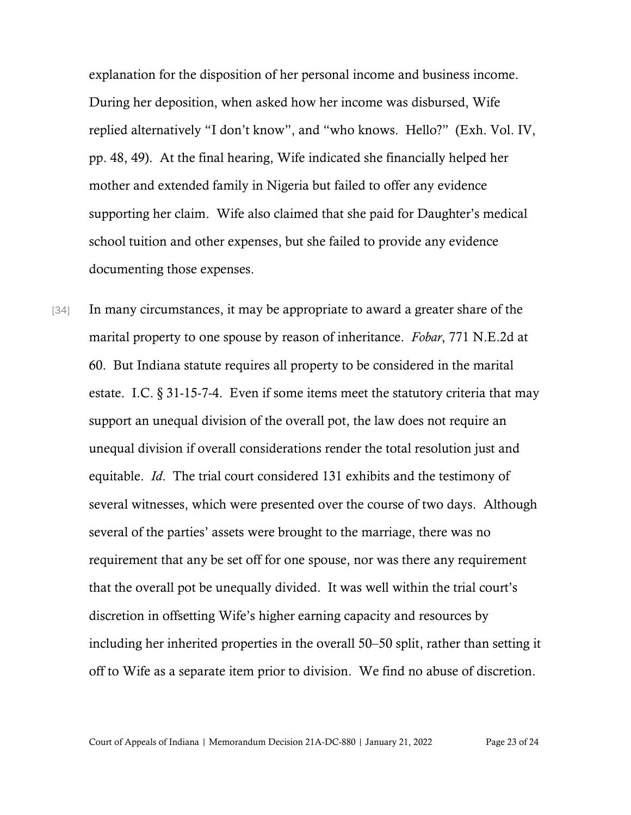explanation for the disposition of her personal income and business income. During her deposition, when asked how her income was disbursed, Wife replied alternatively "I don't know", and "who knows. Hello?" (Exh. Vol. IV, pp. 48, 49). At the final hearing, Wife indicated she financially helped her mother and extended family in Nigeria but failed to offer any evidence supporting her claim. Wife also claimed that she paid for Daughter's medical school tuition and other expenses, but she failed to provide any evidence documenting those expenses.

[34] In many circumstances, it may be appropriate to award a greater share of the marital property to one spouse by reason of inheritance. *Fobar*, 771 N.E.2d at 60. But Indiana statute requires all property to be considered in the marital estate. I.C. § 31-15-7-4. Even if some items meet the statutory criteria that may support an unequal division of the overall pot, the law does not require an unequal division if overall considerations render the total resolution just and equitable. *Id*. The trial court considered 131 exhibits and the testimony of several witnesses, which were presented over the course of two days. Although several of the parties' assets were brought to the marriage, there was no requirement that any be set off for one spouse, nor was there any requirement that the overall pot be unequally divided. It was well within the trial court's discretion in offsetting Wife's higher earning capacity and resources by including her inherited properties in the overall 50–50 split, rather than setting it off to Wife as a separate item prior to division. We find no abuse of discretion.